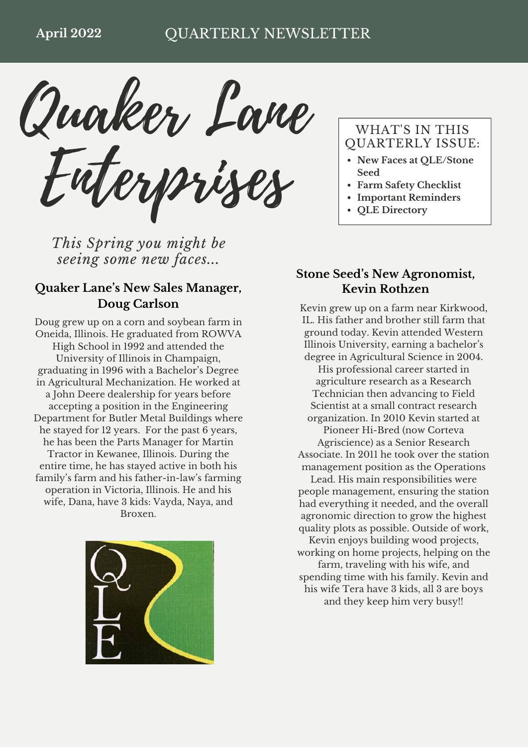Quaker Lane Enterprises

*This Spring you might be seeing some new faces...*

## **Quaker Lane's New Sales Manager, Doug Carlson**

Doug grew up on a corn and soybean farm in Oneida, Illinois. He graduated from ROWVA High School in 1992 and attended the University of Illinois in Champaign, graduating in 1996 with a Bachelor's Degree in Agricultural Mechanization. He worked at a John Deere dealership for years before accepting a position in the Engineering Department for Butler Metal Buildings where he stayed for 12 years. For the past 6 years, he has been the Parts Manager for Martin Tractor in Kewanee, Illinois. During the entire time, he has stayed active in both his family's farm and his father-in-law's farming operation in Victoria, Illinois. He and his wife, Dana, have 3 kids: Vayda, Naya, and Broxen.



## WHAT'S IN THIS QUARTERLY ISSUE:

- **New Faces at QLE/Stone Seed**
- **Farm Safety Checklist**
- **Important Reminders**
- **QLE Directory**

## **Stone Seed's New Agronomist, Kevin Rothzen**

Kevin grew up on a farm near Kirkwood, IL. His father and brother still farm that ground today. Kevin attended Western Illinois University, earning a bachelor's degree in Agricultural Science in 2004. His professional career started in agriculture research as a Research Technician then advancing to Field Scientist at a small contract research organization. In 2010 Kevin started at Pioneer Hi-Bred (now Corteva Agriscience) as a Senior Research Associate. In 2011 he took over the station management position as the Operations Lead. His main responsibilities were people management, ensuring the station had everything it needed, and the overall agronomic direction to grow the highest quality plots as possible. Outside of work, Kevin enjoys building wood projects, working on home projects, helping on the farm, traveling with his wife, and spending time with his family. Kevin and his wife Tera have 3 kids, all 3 are boys

and they keep him very busy!!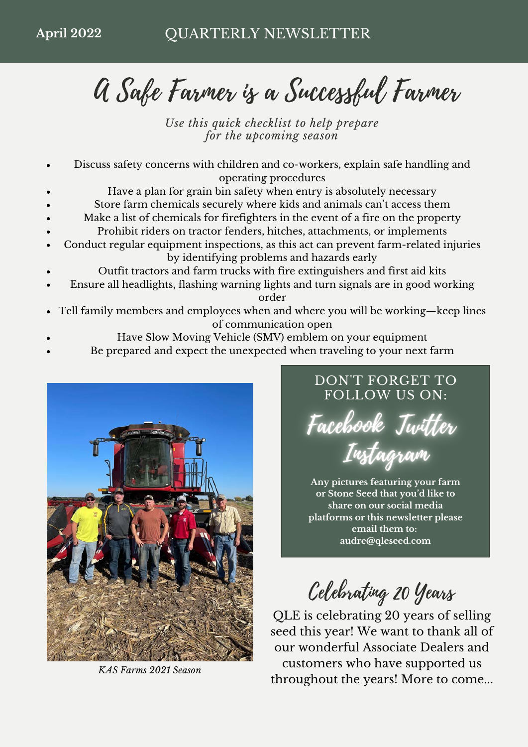A Safe Farmer is a Successful Farmer

*Use this quick checklist to help prepare for the upcoming season*

- Discuss safety concerns with children and co-workers, explain safe handling and operating procedures
- Have a plan for grain bin safety when entry is absolutely necessary
- Store farm chemicals securely where kids and animals can't access them
- Make a list of chemicals for firefighters in the event of a fire on the property
- Prohibit riders on tractor fenders, hitches, attachments, or implements
- Conduct regular equipment inspections, as this act can prevent farm-related injuries by identifying problems and hazards early
- Outfit tractors and farm trucks with fire extinguishers and first aid kits
- Ensure all headlights, flashing warning lights and turn signals are in good working order
- Tell family members and employees when and where you will be working—keep lines of communication open
	- Have Slow Moving Vehicle (SMV) emblem on your equipment
- Be prepared and expect the unexpected when traveling to your next farm



*KAS Farms 2021 Season*

## DON'T FORGET TO FOLLOW US ON:

Facebook Jwitter Instagram

**Any pictures featuring your farm or Stone Seed that you'd like to share on our social media platforms or this newsletter please email them to: [audre@qleseed.com](mailto:audre@qleseed.com)**

Celebrating 20 Years

QLE is celebrating 20 years of selling seed this year! We want to thank all of our wonderful Associate Dealers and customers who have supported us throughout the years! More to come...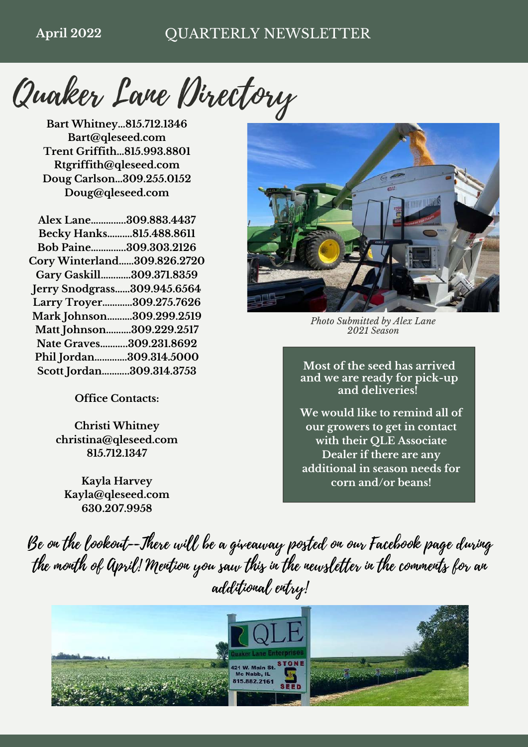Quaker Lane Directory

**Bart Whitney…815.712.1346 Bart@qleseed.com Trent Griffith…815.993.8801 Rtgriffith@qleseed.com Doug Carlson…309.255.0152 Doug@qleseed.com**

| Alex Lane309.883.4437              |  |
|------------------------------------|--|
| Becky Hanks815.488.8611            |  |
| Bob Paine309.303.2126              |  |
| <b>Cory Winterland309.826.2720</b> |  |
| Gary Gaskill309.371.8359           |  |
| Jerry Snodgrass309.945.6564        |  |
| Larry Troyer309.275.7626           |  |
| Mark Johnson309.299.2519           |  |
| Matt Johnson309.229.2517           |  |
| Nate Graves309.231.8692            |  |
| Phil Jordan309.314.5000            |  |
| Scott Jordan309.314.3753           |  |
|                                    |  |

**Office Contacts:**

**Christi Whitney christina@qleseed.com 815.712.1347**

**Kayla Harvey Kayla@qleseed.com 630.207.9958**



*Photo Submitted by Alex Lane 2021 Season*

**Most of the seed has arrived and we are ready for pick-up and deliveries!**

**We would like to remind all of our growers to get in contact with their QLE Associate Dealer if there are any additional in season needs for corn and/or beans!**

Be on the lookout--There will be a giveaway posted on our Facebook page during the month of April! Mention you saw this in the newsletter in the comments for an additional entry!